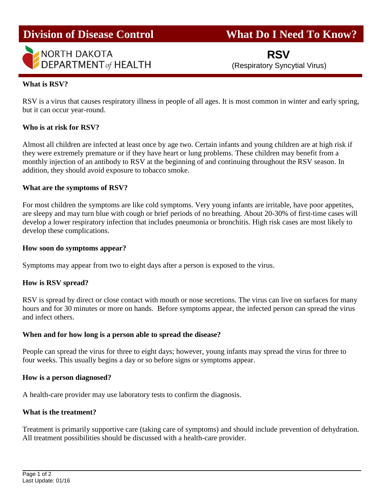

**Division of Disease Control What Do I Need To Know?** 

 **RSV** (Respiratory Syncytial Virus)

## **What is RSV?**

RSV is a virus that causes respiratory illness in people of all ages. It is most common in winter and early spring, but it can occur year-round.

## **Who is at risk for RSV?**

Almost all children are infected at least once by age two. Certain infants and young children are at high risk if they were extremely premature or if they have heart or lung problems. These children may benefit from a monthly injection of an antibody to RSV at the beginning of and continuing throughout the RSV season. In addition, they should avoid exposure to tobacco smoke.

### **What are the symptoms of RSV?**

For most children the symptoms are like cold symptoms. Very young infants are irritable, have poor appetites, are sleepy and may turn blue with cough or brief periods of no breathing. About 20-30% of first-time cases will develop a lower respiratory infection that includes pneumonia or bronchitis. High risk cases are most likely to develop these complications.

#### **How soon do symptoms appear?**

Symptoms may appear from two to eight days after a person is exposed to the virus.

#### **How is RSV spread?**

RSV is spread by direct or close contact with mouth or nose secretions. The virus can live on surfaces for many hours and for 30 minutes or more on hands. Before symptoms appear, the infected person can spread the virus and infect others.

#### **When and for how long is a person able to spread the disease?**

People can spread the virus for three to eight days; however, young infants may spread the virus for three to four weeks. This usually begins a day or so before signs or symptoms appear.

#### **How is a person diagnosed?**

A health-care provider may use laboratory tests to confirm the diagnosis.

# **What is the treatment?**

Treatment is primarily supportive care (taking care of symptoms) and should include prevention of dehydration. All treatment possibilities should be discussed with a health-care provider.